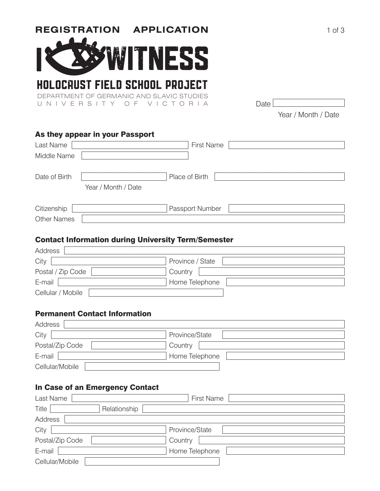

# HOLOCAUST FIELD SCHOOL PROJECT

DEPARTMENT OF GERMANIC AND SLAVIC STUDIES UNIVERSITY OF VICTORIA Date

Year / Month / Date

## As they appear in your Passport

| Last Name                            | <b>First Name</b> |
|--------------------------------------|-------------------|
| Middle Name                          |                   |
| Date of Birth<br>Year / Month / Date | Place of Birth    |
| Citizenship                          | Passport Number   |
| <b>Other Names</b>                   |                   |

#### Contact Information during University Term/Semester

| Address           |                  |
|-------------------|------------------|
| City              | Province / State |
| Postal / Zip Code | Country          |
| E-mail            | Home Telephone   |
| Cellular / Mobile |                  |

#### Permanent Contact Information

| Address         |                |
|-----------------|----------------|
| City            | Province/State |
| Postal/Zip Code | Country        |
| E-mail          | Home Telephone |
| Cellular/Mobile |                |

## In Case of an Emergency Contact

| Last Name             | <b>First Name</b> |
|-----------------------|-------------------|
| Relationship<br>Title |                   |
| Address               |                   |
| City                  | Province/State    |
| Postal/Zip Code       | Country           |
| E-mail                | Home Telephone    |
| Cellular/Mobile       |                   |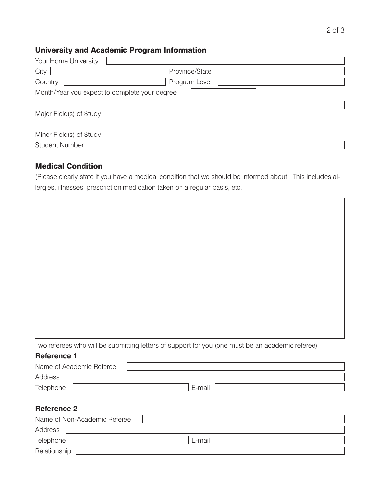$\overline{\phantom{a}}$ 

## University and Academic Program Information

| Your Home University                          |                |  |  |
|-----------------------------------------------|----------------|--|--|
| City                                          | Province/State |  |  |
| Country                                       | Program Level  |  |  |
| Month/Year you expect to complete your degree |                |  |  |
|                                               |                |  |  |
| Major Field(s) of Study                       |                |  |  |
|                                               |                |  |  |
| Minor Field(s) of Study                       |                |  |  |
| <b>Student Number</b>                         |                |  |  |

#### Medical Condition

 $\overline{\phantom{0}}$ 

(Please clearly state if you have a medical condition that we should be informed about. This includes allergies, illnesses, prescription medication taken on a regular basis, etc.

| Two referees who will be submitting letters of support for you (one must be an academic referee) |  |  |  |  |  |
|--------------------------------------------------------------------------------------------------|--|--|--|--|--|
| <b>Reference 1</b>                                                                               |  |  |  |  |  |
| Name of Academic Referee                                                                         |  |  |  |  |  |
| Address                                                                                          |  |  |  |  |  |
| E-mail<br>Telephone                                                                              |  |  |  |  |  |
|                                                                                                  |  |  |  |  |  |
| <b>Reference 2</b>                                                                               |  |  |  |  |  |

|              | Name of Non-Academic Referee |        |
|--------------|------------------------------|--------|
| Address      |                              |        |
| Telephone    |                              | E-mail |
| Relationship |                              |        |